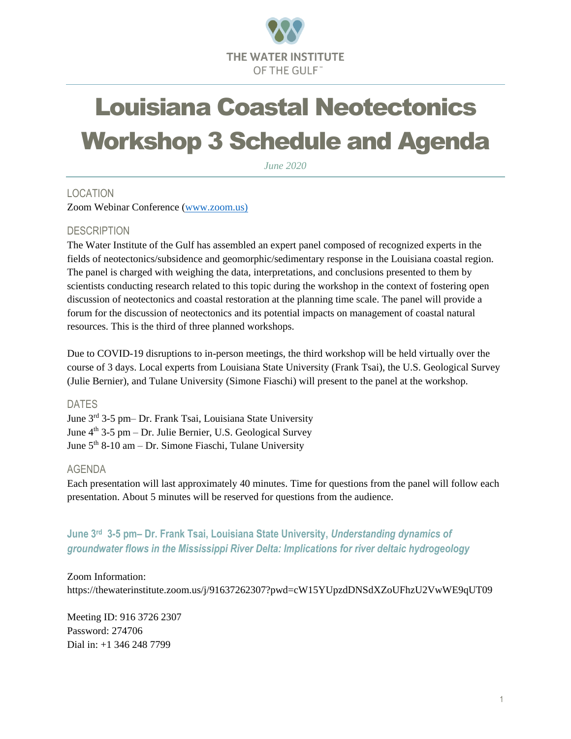

# Louisiana Coastal Neotectonics Workshop 3 Schedule and Agenda

*June 2020*

# LOCATION

Zoom Webinar Conference [\(www.zoom.us\)](http://www.zoom.us/)

## **DESCRIPTION**

The Water Institute of the Gulf has assembled an expert panel composed of recognized experts in the fields of neotectonics/subsidence and geomorphic/sedimentary response in the Louisiana coastal region. The panel is charged with weighing the data, interpretations, and conclusions presented to them by scientists conducting research related to this topic during the workshop in the context of fostering open discussion of neotectonics and coastal restoration at the planning time scale. The panel will provide a forum for the discussion of neotectonics and its potential impacts on management of coastal natural resources. This is the third of three planned workshops.

Due to COVID-19 disruptions to in-person meetings, the third workshop will be held virtually over the course of 3 days. Local experts from Louisiana State University (Frank Tsai), the U.S. Geological Survey (Julie Bernier), and Tulane University (Simone Fiaschi) will present to the panel at the workshop.

### DATES

June 3rd 3-5 pm– Dr. Frank Tsai, Louisiana State University June  $4<sup>th</sup>$  3-5 pm – Dr. Julie Bernier, U.S. Geological Survey June  $5<sup>th</sup> 8-10$  am – Dr. Simone Fiaschi, Tulane University

### AGENDA

Each presentation will last approximately 40 minutes. Time for questions from the panel will follow each presentation. About 5 minutes will be reserved for questions from the audience.

**June 3rd 3-5 pm– Dr. Frank Tsai, Louisiana State University,** *Understanding dynamics of groundwater flows in the Mississippi River Delta: Implications for river deltaic hydrogeology*

Zoom Information:

https://thewaterinstitute.zoom.us/j/91637262307?pwd=cW15YUpzdDNSdXZoUFhzU2VwWE9qUT09

Meeting ID: 916 3726 2307 Password: 274706 Dial in: +1 346 248 7799